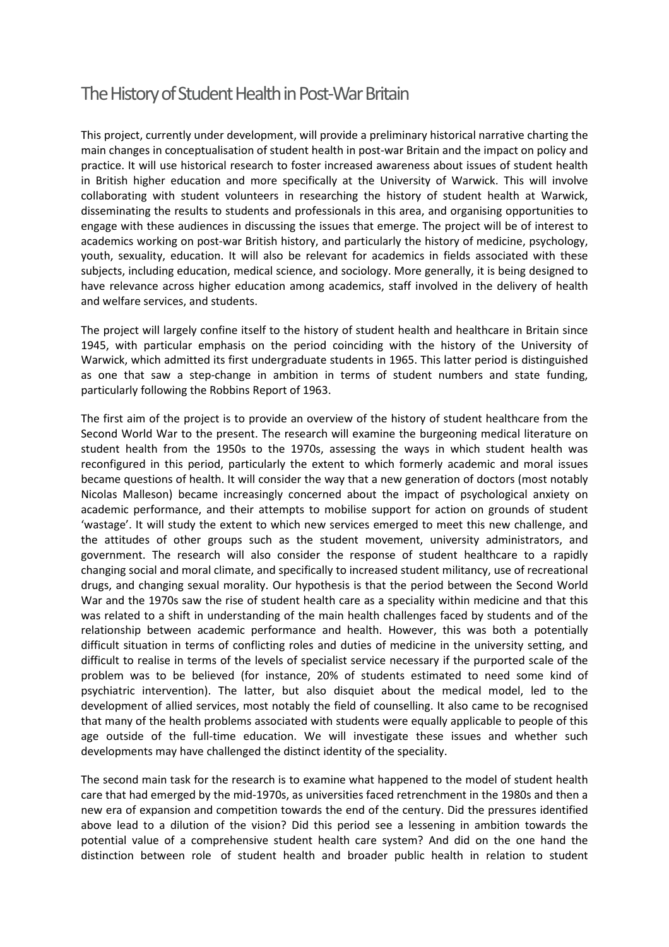## The History of Student Health in Post-War Britain

This project, currently under development, will provide a preliminary historical narrative charting the main changes in conceptualisation of student health in post-war Britain and the impact on policy and practice. It will use historical research to foster increased awareness about issues of student health in British higher education and more specifically at the University of Warwick. This will involve collaborating with student volunteers in researching the history of student health at Warwick, disseminating the results to students and professionals in this area, and organising opportunities to engage with these audiences in discussing the issues that emerge. The project will be of interest to academics working on post-war British history, and particularly the history of medicine, psychology, youth, sexuality, education. It will also be relevant for academics in fields associated with these subjects, including education, medical science, and sociology. More generally, it is being designed to have relevance across higher education among academics, staff involved in the delivery of health and welfare services, and students.

The project will largely confine itself to the history of student health and healthcare in Britain since 1945, with particular emphasis on the period coinciding with the history of the University of Warwick, which admitted its first undergraduate students in 1965. This latter period is distinguished as one that saw a step-change in ambition in terms of student numbers and state funding, particularly following the Robbins Report of 1963.

The first aim of the project is to provide an overview of the history of student healthcare from the Second World War to the present. The research will examine the burgeoning medical literature on student health from the 1950s to the 1970s, assessing the ways in which student health was reconfigured in this period, particularly the extent to which formerly academic and moral issues became questions of health. It will consider the way that a new generation of doctors (most notably Nicolas Malleson) became increasingly concerned about the impact of psychological anxiety on academic performance, and their attempts to mobilise support for action on grounds of student 'wastage'. It will study the extent to which new services emerged to meet this new challenge, and the attitudes of other groups such as the student movement, university administrators, and government. The research will also consider the response of student healthcare to a rapidly changing social and moral climate, and specifically to increased student militancy, use of recreational drugs, and changing sexual morality. Our hypothesis is that the period between the Second World War and the 1970s saw the rise of student health care as a speciality within medicine and that this was related to a shift in understanding of the main health challenges faced by students and of the relationship between academic performance and health. However, this was both a potentially difficult situation in terms of conflicting roles and duties of medicine in the university setting, and difficult to realise in terms of the levels of specialist service necessary if the purported scale of the problem was to be believed (for instance, 20% of students estimated to need some kind of psychiatric intervention). The latter, but also disquiet about the medical model, led to the development of allied services, most notably the field of counselling. It also came to be recognised that many of the health problems associated with students were equally applicable to people of this age outside of the full-time education. We will investigate these issues and whether such developments may have challenged the distinct identity of the speciality.

The second main task for the research is to examine what happened to the model of student health care that had emerged by the mid-1970s, as universities faced retrenchment in the 1980s and then a new era of expansion and competition towards the end of the century. Did the pressures identified above lead to a dilution of the vision? Did this period see a lessening in ambition towards the potential value of a comprehensive student health care system? And did on the one hand the distinction between role of student health and broader public health in relation to student